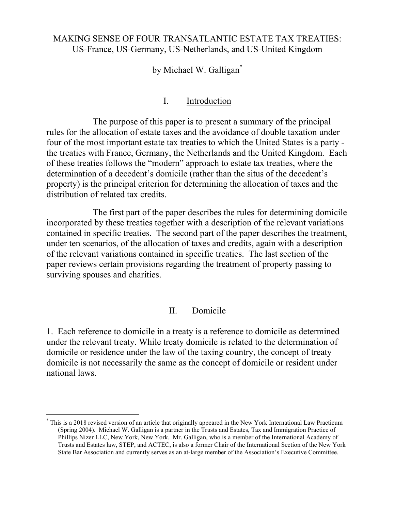## MAKING SENSE OF FOUR TRANSATLANTIC ESTATE TAX TREATIES: US-France, US-Germany, US-Netherlands, and US-United Kingdom

## by Michael W. Galligan<sup>\*</sup>

#### I. Introduction

The purpose of this paper is to present a summary of the principal rules for the allocation of estate taxes and the avoidance of double taxation under four of the most important estate tax treaties to which the United States is a party the treaties with France, Germany, the Netherlands and the United Kingdom. Each of these treaties follows the "modern" approach to estate tax treaties, where the determination of a decedent's domicile (rather than the situs of the decedent's property) is the principal criterion for determining the allocation of taxes and the distribution of related tax credits.

The first part of the paper describes the rules for determining domicile incorporated by these treaties together with a description of the relevant variations contained in specific treaties. The second part of the paper describes the treatment, under ten scenarios, of the allocation of taxes and credits, again with a description of the relevant variations contained in specific treaties. The last section of the paper reviews certain provisions regarding the treatment of property passing to surviving spouses and charities.

### II. Domicile

1. Each reference to domicile in a treaty is a reference to domicile as determined under the relevant treaty. While treaty domicile is related to the determination of domicile or residence under the law of the taxing country, the concept of treaty domicile is not necessarily the same as the concept of domicile or resident under national laws.

l

<sup>\*</sup> This is a 2018 revised version of an article that originally appeared in the New York International Law Practicum (Spring 2004). Michael W. Galligan is a partner in the Trusts and Estates, Tax and Immigration Practice of Phillips Nizer LLC, New York, New York. Mr. Galligan, who is a member of the International Academy of Trusts and Estates law, STEP, and ACTEC, is also a former Chair of the International Section of the New York State Bar Association and currently serves as an at-large member of the Association's Executive Committee.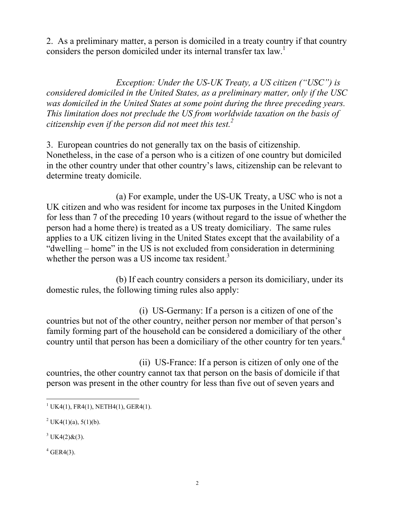2. As a preliminary matter, a person is domiciled in a treaty country if that country considers the person domiciled under its internal transfer tax law.<sup>1</sup>

*Exception: Under the US-UK Treaty, a US citizen ("USC") is considered domiciled in the United States, as a preliminary matter, only if the USC was domiciled in the United States at some point during the three preceding years. This limitation does not preclude the US from worldwide taxation on the basis of citizenship even if the person did not meet this test.<sup>2</sup>*

3. European countries do not generally tax on the basis of citizenship. Nonetheless, in the case of a person who is a citizen of one country but domiciled in the other country under that other country's laws, citizenship can be relevant to determine treaty domicile.

(a) For example, under the US-UK Treaty, a USC who is not a UK citizen and who was resident for income tax purposes in the United Kingdom for less than 7 of the preceding 10 years (without regard to the issue of whether the person had a home there) is treated as a US treaty domiciliary. The same rules applies to a UK citizen living in the United States except that the availability of a "dwelling – home" in the US is not excluded from consideration in determining whether the person was a US income tax resident.<sup>3</sup>

(b) If each country considers a person its domiciliary, under its domestic rules, the following timing rules also apply:

(i) US-Germany: If a person is a citizen of one of the countries but not of the other country, neither person nor member of that person's family forming part of the household can be considered a domiciliary of the other country until that person has been a domiciliary of the other country for ten years.<sup>4</sup>

(ii) US-France: If a person is citizen of only one of the countries, the other country cannot tax that person on the basis of domicile if that person was present in the other country for less than five out of seven years and

 $4$  GER4(3).

 $\overline{a}$  $1 \text{UK4}(1)$ , FR4 $(1)$ , NETH4 $(1)$ , GER4 $(1)$ .

<sup>&</sup>lt;sup>2</sup> UK4(1)(a), 5(1)(b).

 $3$  UK4(2)&(3).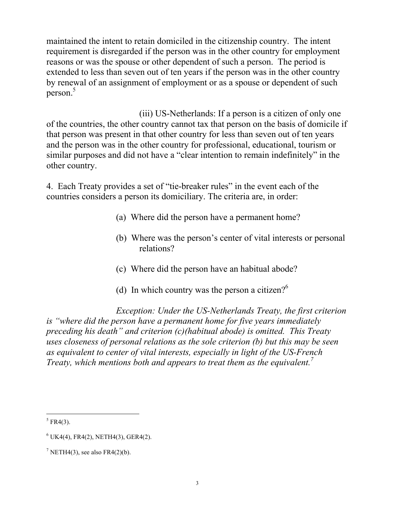maintained the intent to retain domiciled in the citizenship country. The intent requirement is disregarded if the person was in the other country for employment reasons or was the spouse or other dependent of such a person. The period is extended to less than seven out of ten years if the person was in the other country by renewal of an assignment of employment or as a spouse or dependent of such person.<sup>5</sup>

(iii) US-Netherlands: If a person is a citizen of only one of the countries, the other country cannot tax that person on the basis of domicile if that person was present in that other country for less than seven out of ten years and the person was in the other country for professional, educational, tourism or similar purposes and did not have a "clear intention to remain indefinitely" in the other country.

4. Each Treaty provides a set of "tie-breaker rules" in the event each of the countries considers a person its domiciliary. The criteria are, in order:

- (a) Where did the person have a permanent home?
- (b) Where was the person's center of vital interests or personal relations?
- (c) Where did the person have an habitual abode?
- (d) In which country was the person a citizen?<sup>6</sup>

*Exception: Under the US-Netherlands Treaty, the first criterion is "where did the person have a permanent home for five years immediately preceding his death" and criterion (c)(habitual abode) is omitted. This Treaty uses closeness of personal relations as the sole criterion (b) but this may be seen as equivalent to center of vital interests, especially in light of the US-French Treaty, which mentions both and appears to treat them as the equivalent. 7*

l  $5$  FR4(3).

 $6$  UK4(4), FR4(2), NETH4(3), GER4(2).

<sup>&</sup>lt;sup>7</sup> NETH4(3), see also FR4(2)(b).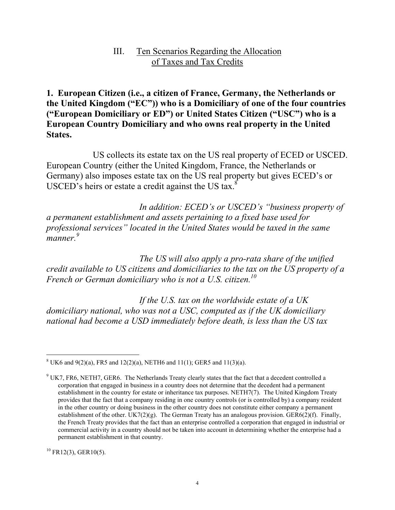#### III. Ten Scenarios Regarding the Allocation of Taxes and Tax Credits

**1. European Citizen (i.e., a citizen of France, Germany, the Netherlands or the United Kingdom ("EC")) who is a Domiciliary of one of the four countries ("European Domiciliary or ED") or United States Citizen ("USC") who is a European Country Domiciliary and who owns real property in the United States.**

US collects its estate tax on the US real property of ECED or USCED. European Country (either the United Kingdom, France, the Netherlands or Germany) also imposes estate tax on the US real property but gives ECED's or USCED's heirs or estate a credit against the US tax. $8$ 

*In addition: ECED's or USCED's "business property of a permanent establishment and assets pertaining to a fixed base used for professional services" located in the United States would be taxed in the same manner. 9* 

*The US will also apply a pro-rata share of the unified credit available to US citizens and domiciliaries to the tax on the US property of a French or German domiciliary who is not a U.S. citizen.<sup>10</sup>*

*If the U.S. tax on the worldwide estate of a UK domiciliary national, who was not a USC, computed as if the UK domiciliary national had become a USD immediately before death, is less than the US tax* 

 $10$  FR12(3), GER10(5).

l  $8 \text{ UK}6$  and  $9(2)(a)$ , FR5 and  $12(2)(a)$ , NETH6 and  $11(1)$ ; GER5 and  $11(3)(a)$ .

<sup>9</sup> UK7, FR6, NETH7, GER6. The Netherlands Treaty clearly states that the fact that a decedent controlled a corporation that engaged in business in a country does not determine that the decedent had a permanent establishment in the country for estate or inheritance tax purposes. NETH7(7). The United Kingdom Treaty provides that the fact that a company residing in one country controls (or is controlled by) a company resident in the other country or doing business in the other country does not constitute either company a permanent establishment of the other. UK7(2)(g). The German Treaty has an analogous provision. GER6(2)(f). Finally, the French Treaty provides that the fact than an enterprise controlled a corporation that engaged in industrial or commercial activity in a country should not be taken into account in determining whether the enterprise had a permanent establishment in that country.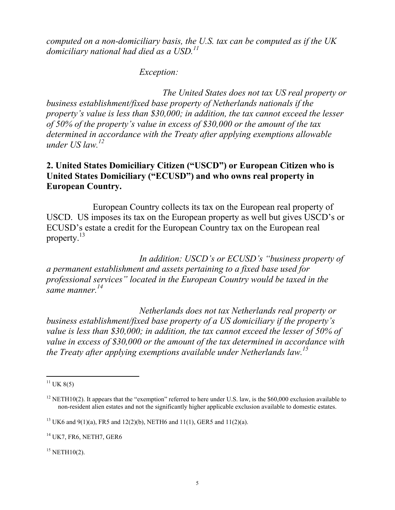*computed on a non-domiciliary basis, the U.S. tax can be computed as if the UK domiciliary national had died as a USD. 11*

#### *Exception:*

*The United States does not tax US real property or business establishment/fixed base property of Netherlands nationals if the property's value is less than \$30,000; in addition, the tax cannot exceed the lesser of 50% of the property's value in excess of \$30,000 or the amount of the tax determined in accordance with the Treaty after applying exemptions allowable under US law.<sup>12</sup>*

## **2. United States Domiciliary Citizen ("USCD") or European Citizen who is United States Domiciliary ("ECUSD") and who owns real property in European Country.**

European Country collects its tax on the European real property of USCD. US imposes its tax on the European property as well but gives USCD's or ECUSD's estate a credit for the European Country tax on the European real property.<sup>13</sup>

*In addition: USCD's or ECUSD's "business property of a permanent establishment and assets pertaining to a fixed base used for professional services" located in the European Country would be taxed in the same manner. 14*

*Netherlands does not tax Netherlands real property or business establishment/fixed base property of a US domiciliary if the property's value is less than \$30,000; in addition, the tax cannot exceed the lesser of 50% of value in excess of \$30,000 or the amount of the tax determined in accordance with the Treaty after applying exemptions available under Netherlands law.<sup>15</sup>*

l

 $15$  NETH $10(2)$ .

 $11$  UK 8(5)

 $12$  NETH10(2). It appears that the "exemption" referred to here under U.S. law, is the \$60,000 exclusion available to non-resident alien estates and not the significantly higher applicable exclusion available to domestic estates.

<sup>&</sup>lt;sup>13</sup> UK6 and 9(1)(a), FR5 and 12(2)(b), NETH6 and 11(1), GER5 and 11(2)(a).

 $14$  UK7, FR6, NETH7, GER6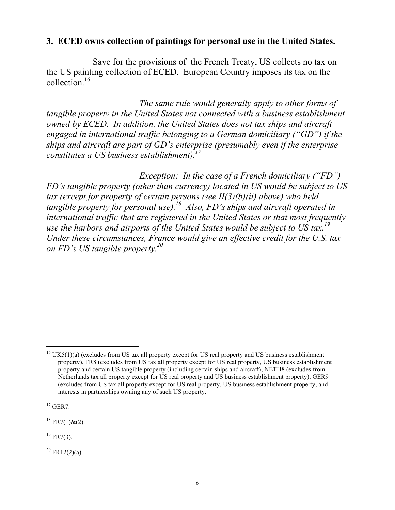### **3. ECED owns collection of paintings for personal use in the United States.**

Save for the provisions of the French Treaty, US collects no tax on the US painting collection of ECED. European Country imposes its tax on the collection.<sup>16</sup>

*The same rule would generally apply to other forms of tangible property in the United States not connected with a business establishment owned by ECED. In addition, the United States does not tax ships and aircraft engaged in international traffic belonging to a German domiciliary ("GD") if the ships and aircraft are part of GD's enterprise (presumably even if the enterprise constitutes a US business establishment).<sup>17</sup>*

*Exception: In the case of a French domiciliary ("FD") FD's tangible property (other than currency) located in US would be subject to US tax (except for property of certain persons (see II(3)(b)(ii) above) who held tangible property for personal use).<sup>18</sup> Also, FD's ships and aircraft operated in international traffic that are registered in the United States or that most frequently use the harbors and airports of the United States would be subject to US tax.<sup>19</sup> Under these circumstances, France would give an effective credit for the U.S. tax on FD's US tangible property.<sup>20</sup>*

 $17$  GER7.

 $\overline{a}$ 

 $18$  FR7(1)&(2).

 $19$  FR7(3).

 $20$  FR12(2)(a).

 $16$  UK5(1)(a) (excludes from US tax all property except for US real property and US business establishment property), FR8 (excludes from US tax all property except for US real property, US business establishment property and certain US tangible property (including certain ships and aircraft), NETH8 (excludes from Netherlands tax all property except for US real property and US business establishment property), GER9 (excludes from US tax all property except for US real property, US business establishment property, and interests in partnerships owning any of such US property.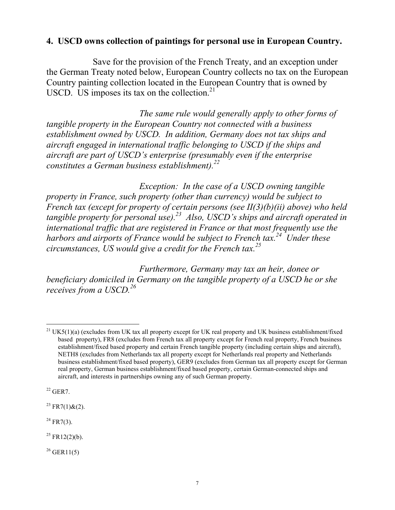## **4. USCD owns collection of paintings for personal use in European Country.**

Save for the provision of the French Treaty, and an exception under the German Treaty noted below, European Country collects no tax on the European Country painting collection located in the European Country that is owned by USCD. US imposes its tax on the collection. $21$ 

*The same rule would generally apply to other forms of tangible property in the European Country not connected with a business establishment owned by USCD. In addition, Germany does not tax ships and aircraft engaged in international traffic belonging to USCD if the ships and aircraft are part of USCD's enterprise (presumably even if the enterprise constitutes a German business establishment).<sup>22</sup>*

*Exception: In the case of a USCD owning tangible property in France, such property (other than currency) would be subject to French tax (except for property of certain persons (see II(3)(b)(ii) above) who held tangible property for personal use).<sup>23</sup> Also, USCD's ships and aircraft operated in international traffic that are registered in France or that most frequently use the harbors and airports of France would be subject to French tax.<sup>24</sup> Under these circumstances, US would give a credit for the French tax.<sup>25</sup>*

*Furthermore, Germany may tax an heir, donee or beneficiary domiciled in Germany on the tangible property of a USCD he or she receives from a USCD.<sup>26</sup>*

 $22$  GER7.

l

 $^{23}$  FR7(1)&(2).

 $^{24}$  FR7(3).

 $^{25}$  FR12(2)(b).

 $^{26}$  GER11(5)

<sup>&</sup>lt;sup>21</sup> UK5(1)(a) (excludes from UK tax all property except for UK real property and UK business establishment/fixed based property), FR8 (excludes from French tax all property except for French real property, French business establishment/fixed based property and certain French tangible property (including certain ships and aircraft), NETH8 (excludes from Netherlands tax all property except for Netherlands real property and Netherlands business establishment/fixed based property), GER9 (excludes from German tax all property except for German real property, German business establishment/fixed based property, certain German-connected ships and aircraft, and interests in partnerships owning any of such German property.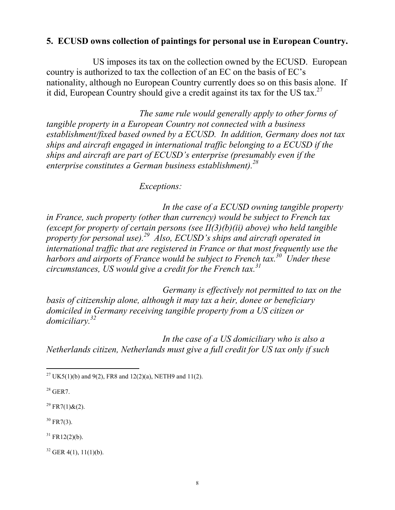## **5. ECUSD owns collection of paintings for personal use in European Country.**

US imposes its tax on the collection owned by the ECUSD. European country is authorized to tax the collection of an EC on the basis of EC's nationality, although no European Country currently does so on this basis alone. If it did, European Country should give a credit against its tax for the US tax.<sup>27</sup>

*The same rule would generally apply to other forms of tangible property in a European Country not connected with a business establishment/fixed based owned by a ECUSD. In addition, Germany does not tax ships and aircraft engaged in international traffic belonging to a ECUSD if the ships and aircraft are part of ECUSD's enterprise (presumably even if the enterprise constitutes a German business establishment).<sup>28</sup>*

*Exceptions:*

*In the case of a ECUSD owning tangible property in France, such property (other than currency) would be subject to French tax (except for property of certain persons (see II(3)(b)(ii) above) who held tangible property for personal use).<sup>29</sup> Also, ECUSD's ships and aircraft operated in international traffic that are registered in France or that most frequently use the harbors and airports of France would be subject to French tax.<sup>30</sup> Under these circumstances, US would give a credit for the French tax.<sup>31</sup>*

*Germany is effectively not permitted to tax on the basis of citizenship alone, although it may tax a heir, donee or beneficiary domiciled in Germany receiving tangible property from a US citizen or domiciliary.<sup>32</sup>*

*In the case of a US domiciliary who is also a Netherlands citizen, Netherlands must give a full credit for US tax only if such* 

 $28$  GER7

<sup>29</sup> FR7(1)&(2).

 $30$  FR7(3).

 $31$  FR12(2)(b).

 $32$  GER 4(1), 11(1)(b).

l <sup>27</sup> UK5(1)(b) and 9(2), FR8 and 12(2)(a), NETH9 and 11(2).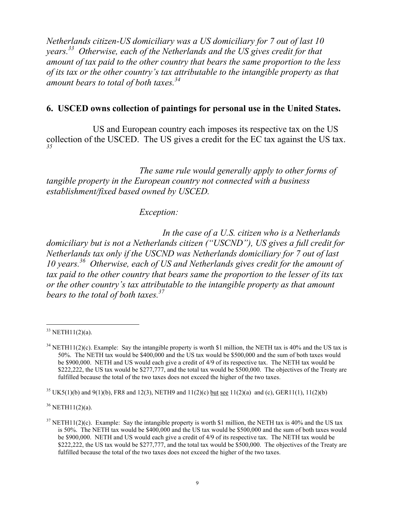*Netherlands citizen-US domiciliary was a US domiciliary for 7 out of last 10 years. 33 Otherwise, each of the Netherlands and the US gives credit for that amount of tax paid to the other country that bears the same proportion to the less of its tax or the other country's tax attributable to the intangible property as that amount bears to total of both taxes.<sup>34</sup>*

#### **6. USCED owns collection of paintings for personal use in the United States.**

US and European country each imposes its respective tax on the US collection of the USCED. The US gives a credit for the EC tax against the US tax. *35*

*The same rule would generally apply to other forms of tangible property in the European country not connected with a business establishment/fixed based owned by USCED.* 

#### *Exception:*

*In the case of a U.S. citizen who is a Netherlands domiciliary but is not a Netherlands citizen ("USCND"), US gives a full credit for Netherlands tax only if the USCND was Netherlands domiciliary for 7 out of last 10 years.<sup>36</sup> Otherwise, each of US and Netherlands gives credit for the amount of tax paid to the other country that bears same the proportion to the lesser of its tax or the other country's tax attributable to the intangible property as that amount bears to the total of both taxes.<sup>37</sup>*

 $\overline{a}$ 

<sup>35</sup> UK5(1)(b) and 9(1)(b), FR8 and 12(3), NETH9 and 11(2)(c) <u>but see</u> 11(2)(a) and (c), GER11(1), 11(2)(b)

 $36$  NETH11(2)(a).

 $33$  NETH11(2)(a).

 $34$  NETH11(2)(c). Example: Say the intangible property is worth \$1 million, the NETH tax is 40% and the US tax is 50%. The NETH tax would be \$400,000 and the US tax would be \$500,000 and the sum of both taxes would be \$900,000. NETH and US would each give a credit of 4/9 of its respective tax. The NETH tax would be \$222,222, the US tax would be \$277,777, and the total tax would be \$500,000. The objectives of the Treaty are fulfilled because the total of the two taxes does not exceed the higher of the two taxes.

 $37$  NETH11(2)(c). Example: Say the intangible property is worth \$1 million, the NETH tax is 40% and the US tax is 50%. The NETH tax would be \$400,000 and the US tax would be \$500,000 and the sum of both taxes would be \$900,000. NETH and US would each give a credit of 4/9 of its respective tax. The NETH tax would be \$222,222, the US tax would be \$277,777, and the total tax would be \$500,000. The objectives of the Treaty are fulfilled because the total of the two taxes does not exceed the higher of the two taxes.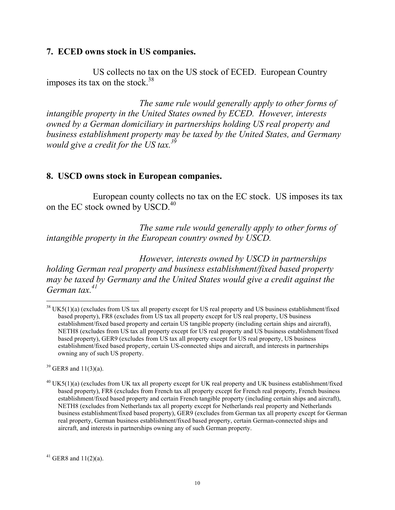#### **7. ECED owns stock in US companies.**

US collects no tax on the US stock of ECED. European Country imposes its tax on the stock. $38$ 

*The same rule would generally apply to other forms of intangible property in the United States owned by ECED. However, interests owned by a German domiciliary in partnerships holding US real property and business establishment property may be taxed by the United States, and Germany would give a credit for the US tax.<sup>39</sup>*

#### **8. USCD owns stock in European companies.**

European county collects no tax on the EC stock. US imposes its tax on the EC stock owned by USCD.<sup>40</sup>

*The same rule would generally apply to other forms of intangible property in the European country owned by USCD.* 

*However, interests owned by USCD in partnerships holding German real property and business establishment/fixed based property may be taxed by Germany and the United States would give a credit against the German tax.<sup>41</sup>*

 $39$  GER8 and  $11(3)(a)$ .

 $\overline{a}$ 

 $38$  UK5(1)(a) (excludes from US tax all property except for US real property and US business establishment/fixed based property), FR8 (excludes from US tax all property except for US real property, US business establishment/fixed based property and certain US tangible property (including certain ships and aircraft), NETH8 (excludes from US tax all property except for US real property and US business establishment/fixed based property), GER9 (excludes from US tax all property except for US real property, US business establishment/fixed based property, certain US-connected ships and aircraft, and interests in partnerships owning any of such US property.

<sup>&</sup>lt;sup>40</sup> UK5(1)(a) (excludes from UK tax all property except for UK real property and UK business establishment/fixed based property), FR8 (excludes from French tax all property except for French real property, French business establishment/fixed based property and certain French tangible property (including certain ships and aircraft), NETH8 (excludes from Netherlands tax all property except for Netherlands real property and Netherlands business establishment/fixed based property), GER9 (excludes from German tax all property except for German real property, German business establishment/fixed based property, certain German-connected ships and aircraft, and interests in partnerships owning any of such German property.

<sup>&</sup>lt;sup>41</sup> GER8 and  $11(2)(a)$ .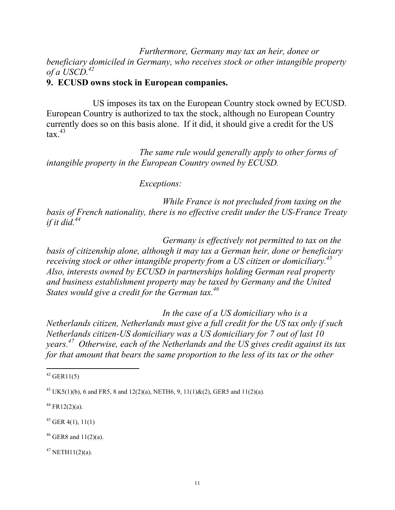*Furthermore, Germany may tax an heir, donee or beneficiary domiciled in Germany, who receives stock or other intangible property of a USCD.<sup>42</sup>*

## **9. ECUSD owns stock in European companies.**

US imposes its tax on the European Country stock owned by ECUSD. European Country is authorized to tax the stock, although no European Country currently does so on this basis alone. If it did, it should give a credit for the US  $\int$  tax $^{43}$ 

*The same rule would generally apply to other forms of intangible property in the European Country owned by ECUSD.*

*Exceptions:*

*While France is not precluded from taxing on the basis of French nationality, there is no effective credit under the US-France Treaty if it did.<sup>44</sup>*

*Germany is effectively not permitted to tax on the basis of citizenship alone, although it may tax a German heir, done or beneficiary receiving stock or other intangible property from a US citizen or domiciliary.<sup>45</sup> Also, interests owned by ECUSD in partnerships holding German real property and business establishment property may be taxed by Germany and the United States would give a credit for the German tax.<sup>46</sup>*

*In the case of a US domiciliary who is a Netherlands citizen, Netherlands must give a full credit for the US tax only if such Netherlands citizen-US domiciliary was a US domiciliary for 7 out of last 10 years. 47 Otherwise, each of the Netherlands and the US gives credit against its tax for that amount that bears the same proportion to the less of its tax or the other* 

 $45$  GER 4(1), 11(1)

 $46$  GER8 and 11(2)(a).

 $47$  NETH11(2)(a).

l  $42$  GER11(5)

<sup>&</sup>lt;sup>43</sup> UK5(1)(b), 6 and FR5, 8 and 12(2)(a), NETH6, 9, 11(1)&(2), GER5 and 11(2)(a).

 $44$  FR12(2)(a).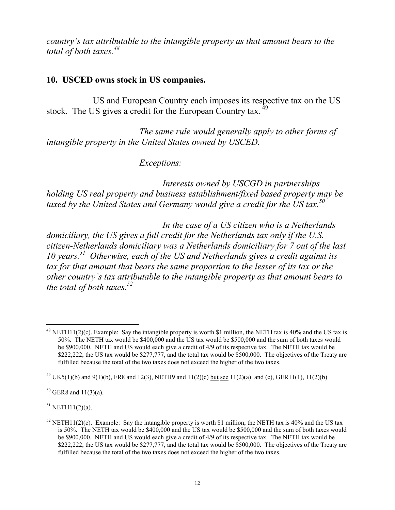*country's tax attributable to the intangible property as that amount bears to the total of both taxes.<sup>48</sup>*

## **10. USCED owns stock in US companies.**

US and European Country each imposes its respective tax on the US stock. The US gives a credit for the European Country tax.<sup>49</sup>

*The same rule would generally apply to other forms of intangible property in the United States owned by USCED.* 

*Exceptions:*

*Interests owned by USCGD in partnerships holding US real property and business establishment/fixed based property may be taxed by the United States and Germany would give a credit for the US tax.<sup>50</sup>*

*In the case of a US citizen who is a Netherlands domiciliary, the US gives a full credit for the Netherlands tax only if the U.S. citizen-Netherlands domiciliary was a Netherlands domiciliary for 7 out of the last 10 years.<sup>51</sup> Otherwise, each of the US and Netherlands gives a credit against its tax for that amount that bears the same proportion to the lesser of its tax or the other country's tax attributable to the intangible property as that amount bears to the total of both taxes.<sup>52</sup>*

 $50$  GER8 and 11(3)(a).

 $51$  NETH11(2)(a).

 $\overline{a}$ 

<sup>&</sup>lt;sup>48</sup> NETH11(2)(c). Example: Say the intangible property is worth \$1 million, the NETH tax is 40% and the US tax is 50%. The NETH tax would be \$400,000 and the US tax would be \$500,000 and the sum of both taxes would be \$900,000. NETH and US would each give a credit of 4/9 of its respective tax. The NETH tax would be \$222,222, the US tax would be \$277,777, and the total tax would be \$500,000. The objectives of the Treaty are fulfilled because the total of the two taxes does not exceed the higher of the two taxes.

<sup>&</sup>lt;sup>49</sup> UK5(1)(b) and 9(1)(b), FR8 and 12(3), NETH9 and 11(2)(c) but see 11(2)(a) and (c), GER11(1), 11(2)(b)

<sup>&</sup>lt;sup>52</sup> NETH11(2)(c). Example: Say the intangible property is worth \$1 million, the NETH tax is 40% and the US tax is 50%. The NETH tax would be \$400,000 and the US tax would be \$500,000 and the sum of both taxes would be \$900,000. NETH and US would each give a credit of 4/9 of its respective tax. The NETH tax would be \$222,222, the US tax would be \$277,777, and the total tax would be \$500,000. The objectives of the Treaty are fulfilled because the total of the two taxes does not exceed the higher of the two taxes.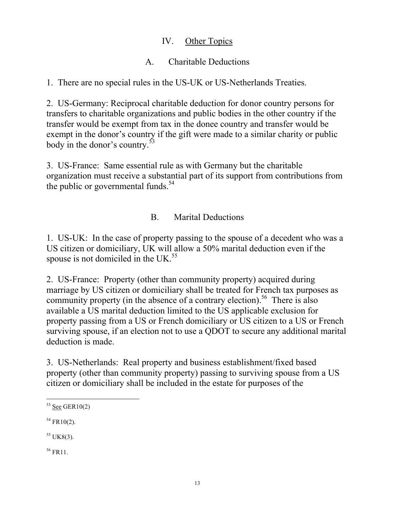## IV. Other Topics

# A. Charitable Deductions

1. There are no special rules in the US-UK or US-Netherlands Treaties.

2. US-Germany: Reciprocal charitable deduction for donor country persons for transfers to charitable organizations and public bodies in the other country if the transfer would be exempt from tax in the donee country and transfer would be exempt in the donor's country if the gift were made to a similar charity or public body in the donor's country.<sup>53</sup>

3. US-France: Same essential rule as with Germany but the charitable organization must receive a substantial part of its support from contributions from the public or governmental funds. $54$ 

# B. Marital Deductions

1. US-UK: In the case of property passing to the spouse of a decedent who was a US citizen or domiciliary, UK will allow a 50% marital deduction even if the spouse is not domiciled in the UK. $^{55}$ 

2. US-France: Property (other than community property) acquired during marriage by US citizen or domiciliary shall be treated for French tax purposes as community property (in the absence of a contrary election).<sup>56</sup> There is also available a US marital deduction limited to the US applicable exclusion for property passing from a US or French domiciliary or US citizen to a US or French surviving spouse, if an election not to use a QDOT to secure any additional marital deduction is made.

3. US-Netherlands: Real property and business establishment/fixed based property (other than community property) passing to surviving spouse from a US citizen or domiciliary shall be included in the estate for purposes of the

 $55$  UK8(3).

 $56$  FR11.

 $\overline{a}$  $53$  See GER10(2)

 $54$  FR10(2).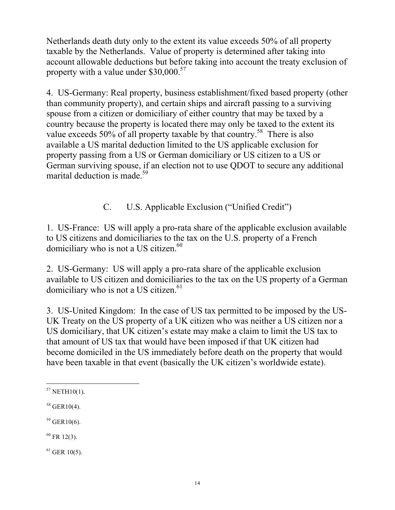Netherlands death duty only to the extent its value exceeds 50% of all property taxable by the Netherlands. Value of property is determined after taking into account allowable deductions but before taking into account the treaty exclusion of property with a value under  $$30,000.<sup>57</sup>$ 

4. US-Germany: Real property, business establishment/fixed based property (other than community property), and certain ships and aircraft passing to a surviving spouse from a citizen or domiciliary of either country that may be taxed by a country because the property is located there may only be taxed to the extent its value exceeds 50% of all property taxable by that country.<sup>58</sup> There is also available a US marital deduction limited to the US applicable exclusion for property passing from a US or German domiciliary or US citizen to a US or German surviving spouse, if an election not to use QDOT to secure any additional marital deduction is made.<sup>59</sup>

C. U.S. Applicable Exclusion ("Unified Credit")

1. US-France: US will apply a pro-rata share of the applicable exclusion available to US citizens and domiciliaries to the tax on the U.S. property of a French domiciliary who is not a US citizen. $60$ 

2. US-Germany: US will apply a pro-rata share of the applicable exclusion available to US citizen and domiciliaries to the tax on the US property of a German domiciliary who is not a US citizen.<sup>61</sup>

3. US-United Kingdom: In the case of US tax permitted to be imposed by the US-UK Treaty on the US property of a UK citizen who was neither a US citizen nor a US domiciliary, that UK citizen's estate may make a claim to limit the US tax to that amount of US tax that would have been imposed if that UK citizen had become domiciled in the US immediately before death on the property that would have been taxable in that event (basically the UK citizen's worldwide estate).

 $59$  GER10(6).

 $60$  FR 12(3).

 $^{61}$  GER 10(5).

l  $57$  NETH10(1).

 $58$  GER10(4).